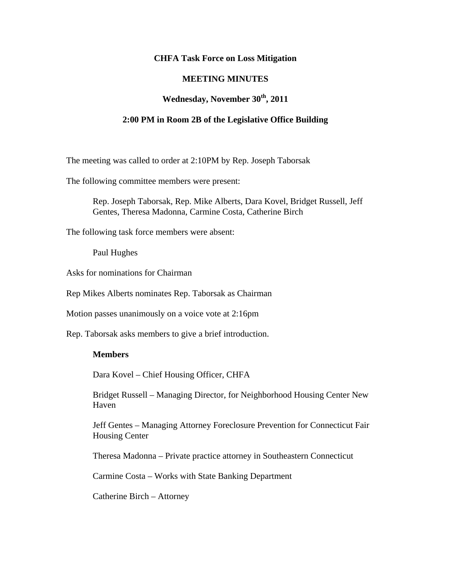### **CHFA Task Force on Loss Mitigation**

## **MEETING MINUTES**

# **Wednesday, November 30th, 2011**

#### **2:00 PM in Room 2B of the Legislative Office Building**

The meeting was called to order at 2:10PM by Rep. Joseph Taborsak

The following committee members were present:

Rep. Joseph Taborsak, Rep. Mike Alberts, Dara Kovel, Bridget Russell, Jeff Gentes, Theresa Madonna, Carmine Costa, Catherine Birch

The following task force members were absent:

Paul Hughes

Asks for nominations for Chairman

Rep Mikes Alberts nominates Rep. Taborsak as Chairman

Motion passes unanimously on a voice vote at 2:16pm

Rep. Taborsak asks members to give a brief introduction.

#### **Members**

Dara Kovel – Chief Housing Officer, CHFA

Bridget Russell – Managing Director, for Neighborhood Housing Center New Haven

Jeff Gentes – Managing Attorney Foreclosure Prevention for Connecticut Fair Housing Center

Theresa Madonna – Private practice attorney in Southeastern Connecticut

Carmine Costa – Works with State Banking Department

Catherine Birch – Attorney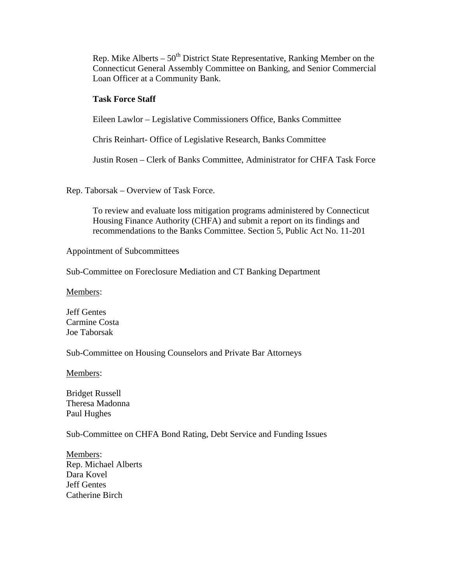Rep. Mike Alberts –  $50<sup>th</sup>$  District State Representative, Ranking Member on the Connecticut General Assembly Committee on Banking, and Senior Commercial Loan Officer at a Community Bank.

## **Task Force Staff**

Eileen Lawlor – Legislative Commissioners Office, Banks Committee

Chris Reinhart- Office of Legislative Research, Banks Committee

Justin Rosen – Clerk of Banks Committee, Administrator for CHFA Task Force

Rep. Taborsak – Overview of Task Force.

To review and evaluate loss mitigation programs administered by Connecticut Housing Finance Authority (CHFA) and submit a report on its findings and recommendations to the Banks Committee. Section 5, Public Act No. 11-201

Appointment of Subcommittees

Sub-Committee on Foreclosure Mediation and CT Banking Department

Members:

Jeff Gentes Carmine Costa Joe Taborsak

Sub-Committee on Housing Counselors and Private Bar Attorneys

Members:

Bridget Russell Theresa Madonna Paul Hughes

Sub-Committee on CHFA Bond Rating, Debt Service and Funding Issues

Members: Rep. Michael Alberts Dara Kovel Jeff Gentes Catherine Birch